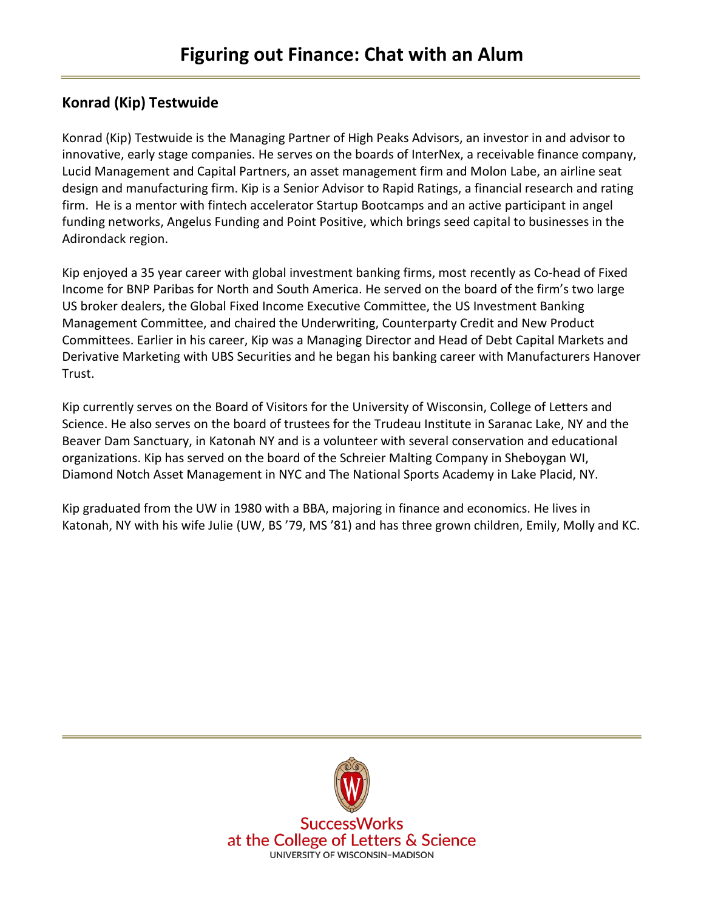# **Konrad (Kip) Testwuide**

Konrad (Kip) Testwuide is the Managing Partner of High Peaks Advisors, an investor in and advisor to innovative, early stage companies. He serves on the boards of InterNex, a receivable finance company, Lucid Management and Capital Partners, an asset management firm and Molon Labe, an airline seat design and manufacturing firm. Kip is a Senior Advisor to Rapid Ratings, a financial research and rating firm. He is a mentor with fintech accelerator Startup Bootcamps and an active participant in angel funding networks, Angelus Funding and Point Positive, which brings seed capital to businesses in the Adirondack region.

Kip enjoyed a 35 year career with global investment banking firms, most recently as Co-head of Fixed Income for BNP Paribas for North and South America. He served on the board of the firm's two large US broker dealers, the Global Fixed Income Executive Committee, the US Investment Banking Management Committee, and chaired the Underwriting, Counterparty Credit and New Product Committees. Earlier in his career, Kip was a Managing Director and Head of Debt Capital Markets and Derivative Marketing with UBS Securities and he began his banking career with Manufacturers Hanover Trust.

Kip currently serves on the Board of Visitors for the University of Wisconsin, College of Letters and Science. He also serves on the board of trustees for the Trudeau Institute in Saranac Lake, NY and the Beaver Dam Sanctuary, in Katonah NY and is a volunteer with several conservation and educational organizations. Kip has served on the board of the Schreier Malting Company in Sheboygan WI, Diamond Notch Asset Management in NYC and The National Sports Academy in Lake Placid, NY.

Kip graduated from the UW in 1980 with a BBA, majoring in finance and economics. He lives in Katonah, NY with his wife Julie (UW, BS '79, MS '81) and has three grown children, Emily, Molly and KC.



**SuccessWorks** at the College of Letters & Science **UNIVERSITY OF WISCONSIN-MADISON**